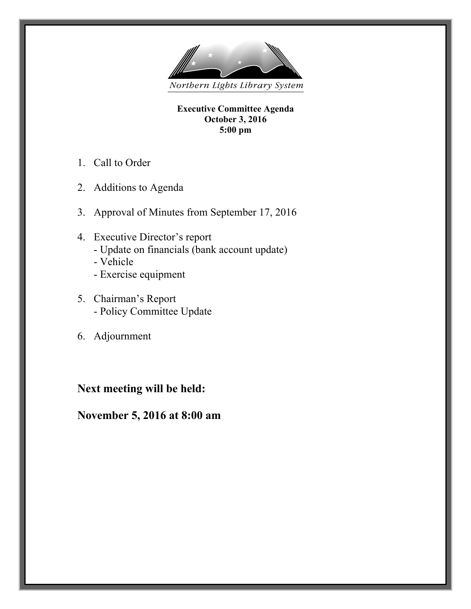

**Executive Committee Agenda October 3, 2016 5:00 pm**

- 1. Call to Order
- 2. Additions to Agenda
- 3. Approval of Minutes from September 17, 2016
- 4. Executive Director's report - Update on financials (bank account update) - Vehicle
	- Exercise equipment
- 5. Chairman's Report - Policy Committee Update
- 6. Adjournment

# **Next meeting will be held:**

**November 5, 2016 at 8:00 am**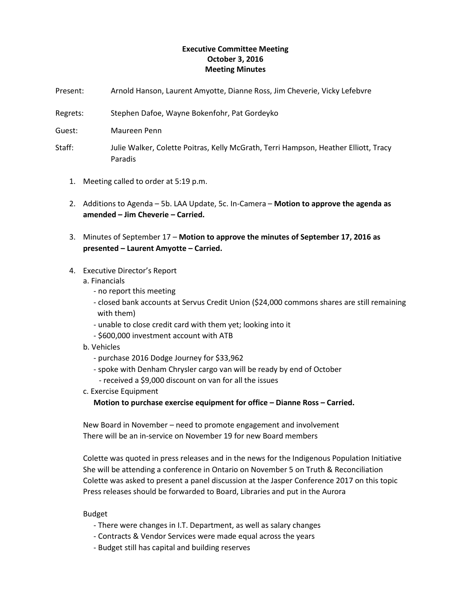## **Executive Committee Meeting October 3, 2016 Meeting Minutes**

- Present: Arnold Hanson, Laurent Amyotte, Dianne Ross, Jim Cheverie, Vicky Lefebvre
- Regrets: Stephen Dafoe, Wayne Bokenfohr, Pat Gordeyko
- Guest: Maureen Penn
- Staff: Julie Walker, Colette Poitras, Kelly McGrath, Terri Hampson, Heather Elliott, Tracy Paradis
	- 1. Meeting called to order at 5:19 p.m.
	- 2. Additions to Agenda 5b. LAA Update, 5c. In-Camera **Motion to approve the agenda as amended – Jim Cheverie – Carried.**
	- 3. Minutes of September 17 **Motion to approve the minutes of September 17, 2016 as presented – Laurent Amyotte – Carried.**

### 4. Executive Director's Report

### a. Financials

- no report this meeting
- closed bank accounts at Servus Credit Union (\$24,000 commons shares are still remaining with them)
- unable to close credit card with them yet; looking into it
- \$600,000 investment account with ATB
- b. Vehicles
	- purchase 2016 Dodge Journey for \$33,962
	- spoke with Denham Chrysler cargo van will be ready by end of October
	- received a \$9,000 discount on van for all the issues
- c. Exercise Equipment
	- **Motion to purchase exercise equipment for office – Dianne Ross – Carried.**

New Board in November – need to promote engagement and involvement There will be an in-service on November 19 for new Board members

Colette was quoted in press releases and in the news for the Indigenous Population Initiative She will be attending a conference in Ontario on November 5 on Truth & Reconciliation Colette was asked to present a panel discussion at the Jasper Conference 2017 on this topic Press releases should be forwarded to Board, Libraries and put in the Aurora

Budget

- There were changes in I.T. Department, as well as salary changes
- Contracts & Vendor Services were made equal across the years
- Budget still has capital and building reserves